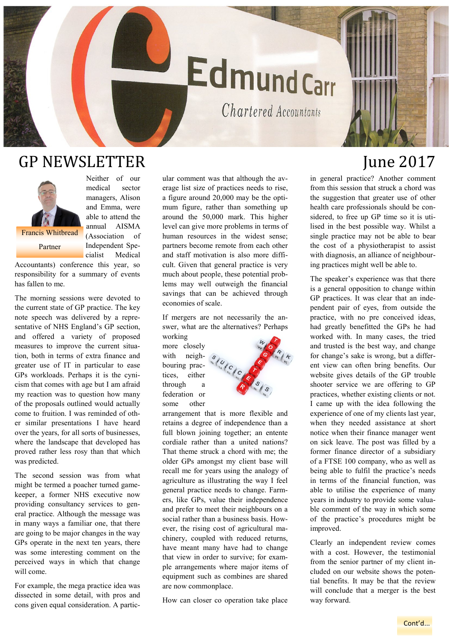# **EdmundCarr**

Chartered Accountants

### GP NEWSLETTER June 2017



Partner

medical sector managers, Alison and Emma, were able to attend the annual AISMA (Association of Independent Specialist Medical

Neither of our

Accountants) conference this year, so responsibility for a summary of events has fallen to me.

The morning sessions were devoted to the current state of GP practice. The key note speech was delivered by a representative of NHS England's GP section, and offered a variety of proposed measures to improve the current situation, both in terms of extra finance and greater use of IT in particular to ease GPs workloads. Perhaps it is the cynicism that comes with age but I am afraid my reaction was to question how many of the proposals outlined would actually come to fruition. I was reminded of other similar presentations I have heard over the years, for all sorts of businesses, where the landscape that developed has proved rather less rosy than that which was predicted.

The second session was from what might be termed a poacher turned gamekeeper, a former NHS executive now providing consultancy services to general practice. Although the message was in many ways a familiar one, that there are going to be major changes in the way GPs operate in the next ten years, there was some interesting comment on the perceived ways in which that change will come.

For example, the mega practice idea was dissected in some detail, with pros and cons given equal consideration. A particular comment was that although the average list size of practices needs to rise, a figure around 20,000 may be the optimum figure, rather than something up around the 50,000 mark. This higher level can give more problems in terms of human resources in the widest sense; partners become remote from each other and staff motivation is also more difficult. Given that general practice is very much about people, these potential problems may well outweigh the financial savings that can be achieved through economies of scale.

If mergers are not necessarily the answer, what are the alternatives? Perhaps working

more closely with neighbouring practices, either through federation or some other



arrangement that is more flexible and retains a degree of independence than a full blown joining together; an entente cordiale rather than a united nations? That theme struck a chord with me; the older GPs amongst my client base will recall me for years using the analogy of agriculture as illustrating the way I feel general practice needs to change. Farmers, like GPs, value their independence and prefer to meet their neighbours on a social rather than a business basis. However, the rising cost of agricultural machinery, coupled with reduced returns, have meant many have had to change that view in order to survive; for example arrangements where major items of equipment such as combines are shared are now commonplace.

How can closer co operation take place

in general practice? Another comment from this session that struck a chord was the suggestion that greater use of other health care professionals should be considered, to free up GP time so it is utilised in the best possible way. Whilst a single practice may not be able to bear the cost of a physiotherapist to assist with diagnosis, an alliance of neighbouring practices might well be able to.

The speaker's experience was that there is a general opposition to change within GP practices. It was clear that an independent pair of eyes, from outside the practice, with no pre conceived ideas, had greatly benefitted the GPs he had worked with. In many cases, the tried and trusted is the best way, and change for change's sake is wrong, but a different view can often bring benefits. Our website gives details of the GP trouble shooter service we are offering to GP practices, whether existing clients or not. I came up with the idea following the experience of one of my clients last year, when they needed assistance at short notice when their finance manager went on sick leave. The post was filled by a former finance director of a subsidiary of a FTSE 100 company, who as well as being able to fulfil the practice's needs in terms of the financial function, was able to utilise the experience of many years in industry to provide some valuable comment of the way in which some of the practice's procedures might be improved.

Clearly an independent review comes with a cost. However, the testimonial from the senior partner of my client included on our website shows the potential benefits. It may be that the review will conclude that a merger is the best way forward.